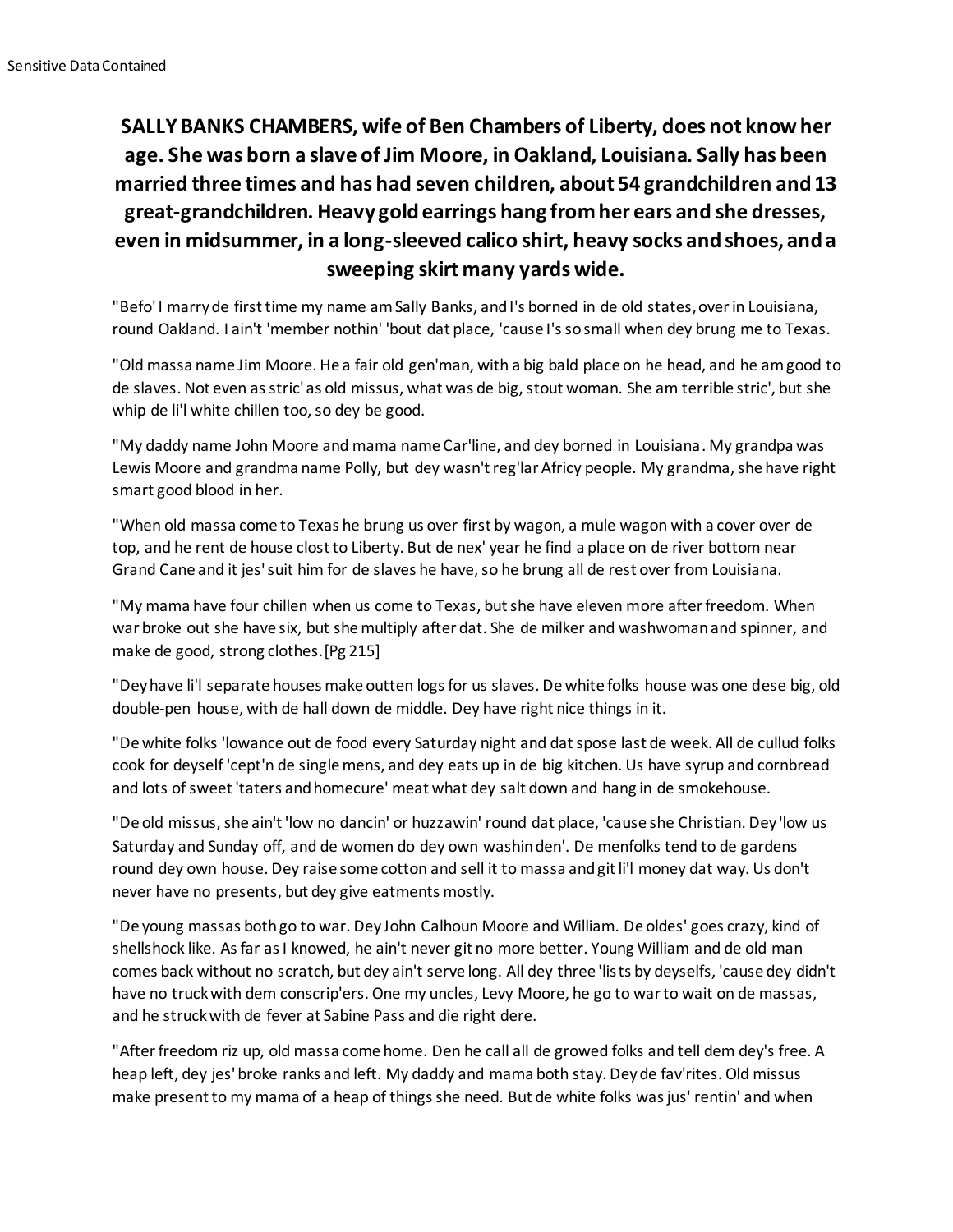## **SALLY BANKS CHAMBERS, wife of Ben Chambers of Liberty, does not know her age. She was born a slave of Jim Moore, in Oakland, Louisiana. Sally has been married three times and has had seven children, about 54 grandchildren and 13 great-grandchildren. Heavy gold earrings hang from her ears and she dresses, even in midsummer, in a long-sleeved calico shirt, heavy socks and shoes, and a sweeping skirt many yards wide.**

"Befo' I marry de first time my name am Sally Banks, and I's borned in de old states, over in Louisiana, round Oakland. I ain't 'member nothin' 'bout dat place, 'cause I's so small when dey brung me to Texas.

"Old massa name Jim Moore. He a fair old gen'man, with a big bald place on he head, and he am good to de slaves. Not even as stric' as old missus, what was de big, stout woman. She am terrible stric', but she whip de li'l white chillen too, so dey be good.

"My daddy name John Moore and mama name Car'line, and dey borned in Louisiana. My grandpa was Lewis Moore and grandma name Polly, but dey wasn't reg'lar Africy people. My grandma, she have right smart good blood in her.

"When old massa come to Texas he brung us over first by wagon, a mule wagon with a cover over de top, and he rent de house clost to Liberty. But de nex' year he find a place on de river bottom near Grand Cane and it jes' suit him for de slaves he have, so he brung all de rest over from Louisiana.

"My mama have four chillen when us come to Texas, but she have eleven more after freedom. When war broke out she have six, but she multiply after dat. She de milker and washwoman and spinner, and make de good, strong clothes.[Pg 215]

"Dey have li'l separate houses make outten logs for us slaves. De white folks house was one dese big, old double-pen house, with de hall down de middle. Dey have right nice things in it.

"De white folks 'lowance out de food every Saturday night and dat spose last de week. All de cullud folks cook for deyself 'cept'n de single mens, and dey eats up in de big kitchen. Us have syrup and cornbread and lots of sweet 'taters and homecure' meat what dey salt down and hang in de smokehouse.

"De old missus, she ain't 'low no dancin' or huzzawin' round dat place, 'cause she Christian. Dey 'low us Saturday and Sunday off, and de women do dey own washin den'. De menfolks tend to de gardens round dey own house. Dey raise some cotton and sell it to massa and git li'l money dat way. Us don't never have no presents, but dey give eatments mostly.

"De young massas both go to war. Dey John Calhoun Moore and William. De oldes' goes crazy, kind of shellshock like. As far as I knowed, he ain't never git no more better. Young William and de old man comes back without no scratch, but dey ain't serve long. All dey three 'lists by deyselfs, 'cause dey didn't have no truck with dem conscrip'ers. One my uncles, Levy Moore, he go to war to wait on de massas, and he struck with de fever at Sabine Pass and die right dere.

"After freedom riz up, old massa come home. Den he call all de growed folks and tell dem dey's free. A heap left, dey jes' broke ranks and left. My daddy and mama both stay. Dey de fav'rites. Old missus make present to my mama of a heap of things she need. But de white folks was jus' rentin' and when